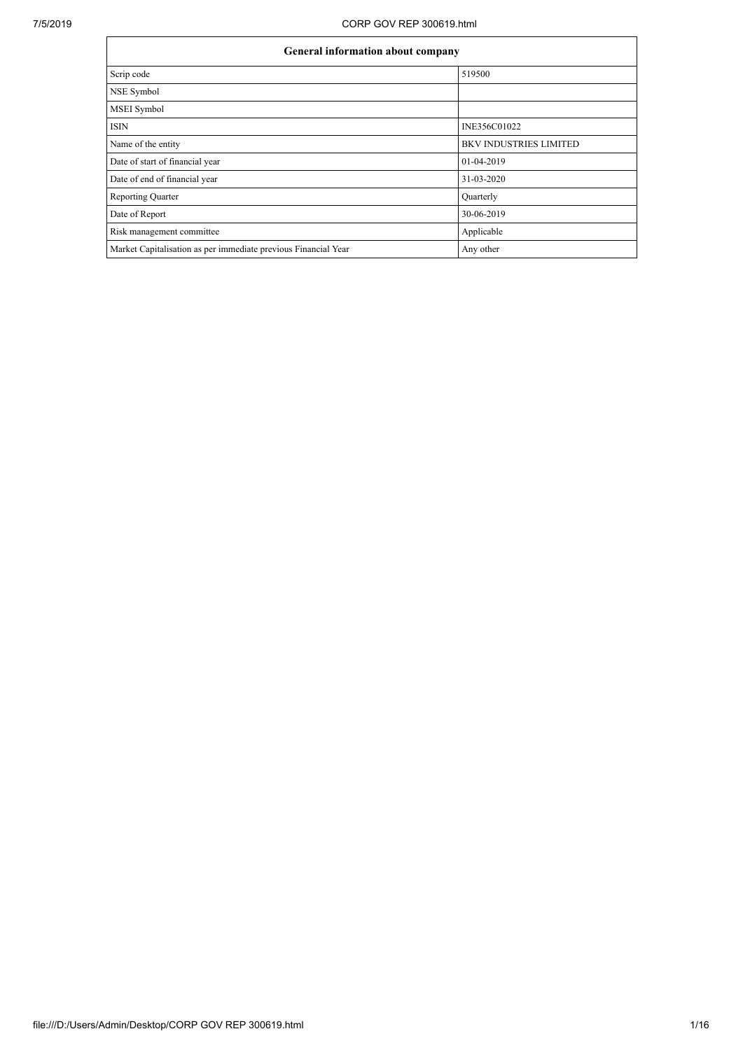| <b>General information about company</b>                       |                               |  |  |  |  |  |
|----------------------------------------------------------------|-------------------------------|--|--|--|--|--|
| Scrip code                                                     | 519500                        |  |  |  |  |  |
| NSE Symbol                                                     |                               |  |  |  |  |  |
| MSEI Symbol                                                    |                               |  |  |  |  |  |
| <b>ISIN</b>                                                    | INE356C01022                  |  |  |  |  |  |
| Name of the entity                                             | <b>BKV INDUSTRIES LIMITED</b> |  |  |  |  |  |
| Date of start of financial year                                | 01-04-2019                    |  |  |  |  |  |
| Date of end of financial year                                  | 31-03-2020                    |  |  |  |  |  |
| <b>Reporting Quarter</b>                                       | Quarterly                     |  |  |  |  |  |
| Date of Report                                                 | 30-06-2019                    |  |  |  |  |  |
| Risk management committee                                      | Applicable                    |  |  |  |  |  |
| Market Capitalisation as per immediate previous Financial Year | Any other                     |  |  |  |  |  |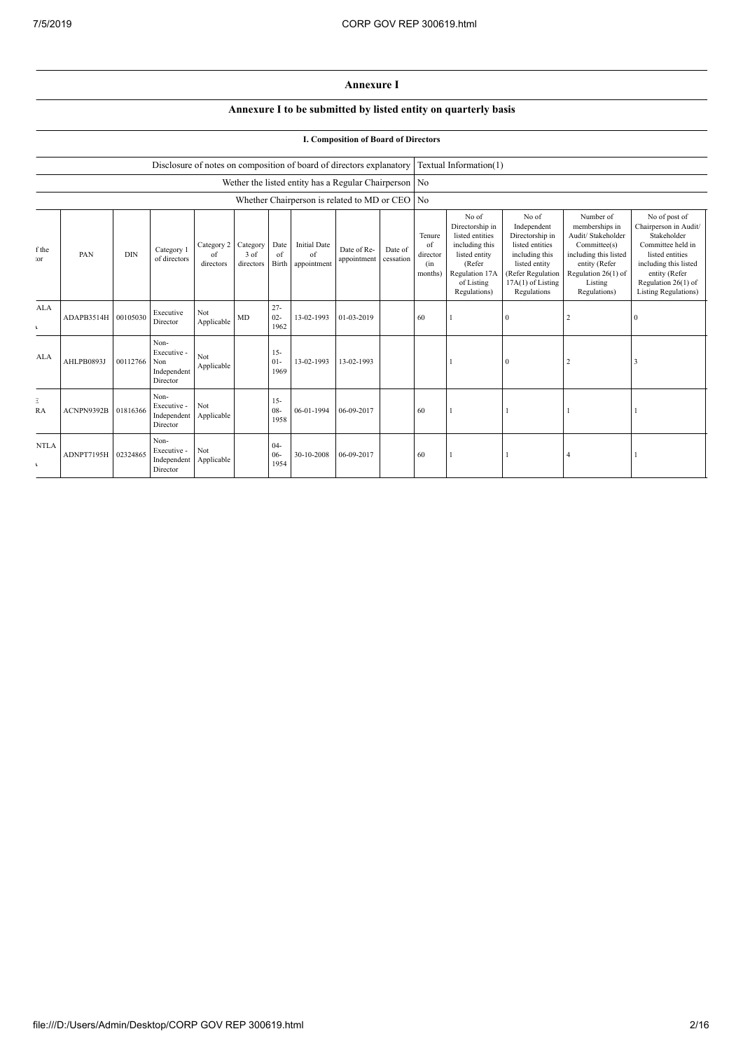## **Annexure I**

## **Annexure I to be submitted by listed entity on quarterly basis**

## **I. Composition of Board of Directors**

|                             |                     |            |                                                           |                               |                                 |                             | Disclosure of notes on composition of board of directors explanatory |                            |                      |                                            | Textual Information(1)                                                                                                                   |                                                                                                                                                        |                                                                                                                                                               |                                                                                                                                                                                                |
|-----------------------------|---------------------|------------|-----------------------------------------------------------|-------------------------------|---------------------------------|-----------------------------|----------------------------------------------------------------------|----------------------------|----------------------|--------------------------------------------|------------------------------------------------------------------------------------------------------------------------------------------|--------------------------------------------------------------------------------------------------------------------------------------------------------|---------------------------------------------------------------------------------------------------------------------------------------------------------------|------------------------------------------------------------------------------------------------------------------------------------------------------------------------------------------------|
|                             |                     |            |                                                           |                               |                                 |                             | Wether the listed entity has a Regular Chairperson No                |                            |                      |                                            |                                                                                                                                          |                                                                                                                                                        |                                                                                                                                                               |                                                                                                                                                                                                |
|                             |                     |            |                                                           |                               |                                 |                             | Whether Chairperson is related to MD or CEO                          |                            |                      | No                                         |                                                                                                                                          |                                                                                                                                                        |                                                                                                                                                               |                                                                                                                                                                                                |
| f the<br>or                 | PAN                 | <b>DIN</b> | Category 1<br>of directors                                | Category 2<br>of<br>directors | Category<br>$3$ of<br>directors | Date<br>$\sigma$ f<br>Birth | <b>Initial Date</b><br>of<br>appointment                             | Date of Re-<br>appointment | Date of<br>cessation | Tenure<br>of<br>director<br>(in<br>months) | No of<br>Directorship in<br>listed entities<br>including this<br>listed entity<br>(Refer<br>Regulation 17A<br>of Listing<br>Regulations) | No of<br>Independent<br>Directorship in<br>listed entities<br>including this<br>listed entity<br>(Refer Regulation<br>17A(1) of Listing<br>Regulations | Number of<br>memberships in<br>Audit/ Stakeholder<br>Committee(s)<br>including this listed<br>entity (Refer<br>Regulation 26(1) of<br>Listing<br>Regulations) | No of post of<br>Chairperson in Audit/<br>Stakeholder<br>Committee held in<br>listed entities<br>including this listed<br>entity (Refer<br>Regulation 26(1) of<br><b>Listing Regulations</b> ) |
| AI.A<br>$\sqrt{2}$          | ADAPB3514H 00105030 |            | Executive<br>Director                                     | Not<br>Applicable             | MD                              | $27 -$<br>$02 -$<br>1962    | 13-02-1993                                                           | 01-03-2019                 |                      | 60                                         |                                                                                                                                          | $\Omega$                                                                                                                                               |                                                                                                                                                               | $\Omega$                                                                                                                                                                                       |
| ALA                         | AHLPB0893J          | 00112766   | Non-<br>Executive -<br>Non<br>Independent<br>Director     | Not<br>Applicable             |                                 | $15 -$<br>$01 -$<br>1969    | 13-02-1993                                                           | 13-02-1993                 |                      |                                            |                                                                                                                                          | $\Omega$                                                                                                                                               |                                                                                                                                                               |                                                                                                                                                                                                |
| 3<br>RA                     | ACNPN9392B          | 01816366   | Non-<br>Executive -<br>Independent Applicable<br>Director | Not                           |                                 | $15 -$<br>$08 -$<br>1958    | 06-01-1994                                                           | 06-09-2017                 |                      | 60                                         |                                                                                                                                          |                                                                                                                                                        |                                                                                                                                                               |                                                                                                                                                                                                |
| <b>NTLA</b><br>$\mathbf{r}$ | ADNPT7195H 02324865 |            | Non-<br>Executive -<br>Independent<br>Director            | Not<br>Applicable             |                                 | $04 -$<br>$06-$<br>1954     | 30-10-2008                                                           | 06-09-2017                 |                      | 60                                         |                                                                                                                                          |                                                                                                                                                        |                                                                                                                                                               |                                                                                                                                                                                                |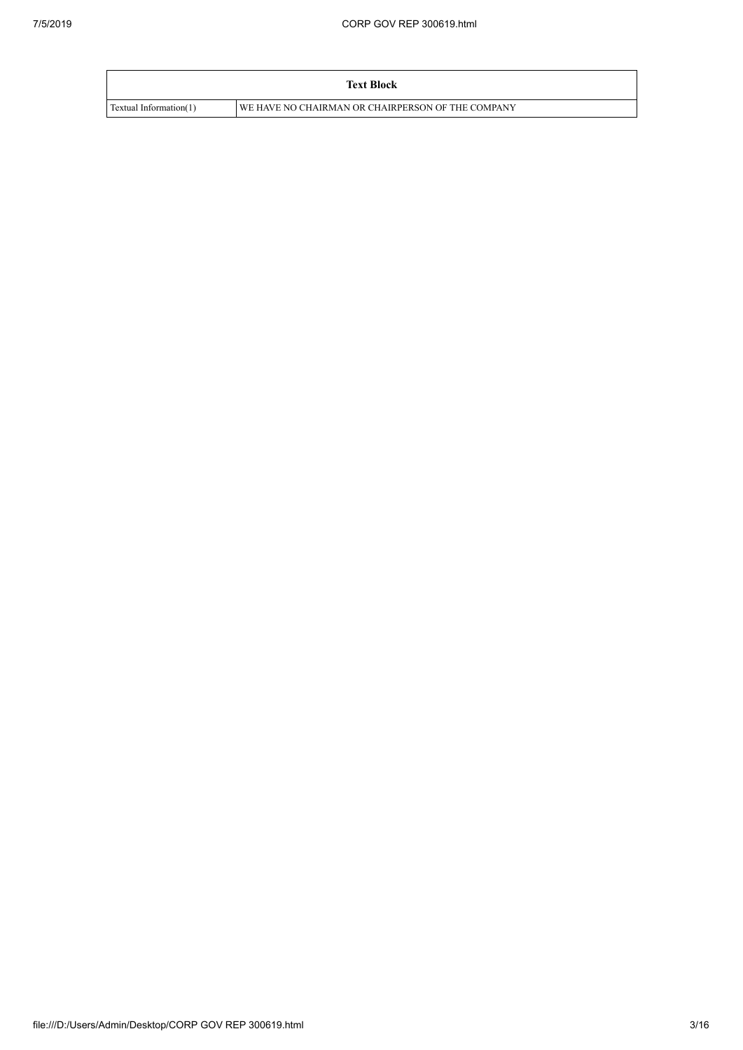|                        | <b>Text Block</b>                                 |
|------------------------|---------------------------------------------------|
| Textual Information(1) | WE HAVE NO CHAIRMAN OR CHAIRPERSON OF THE COMPANY |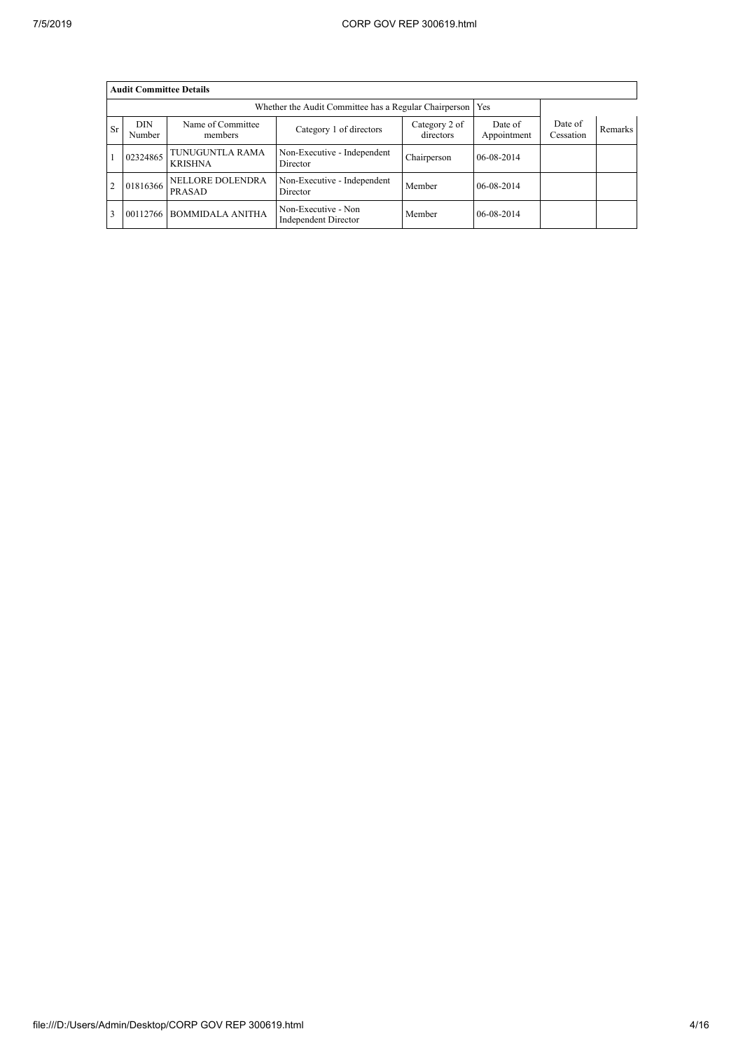|                | <b>Audit Committee Details</b>                                                               |                                                             |                                             |                        |                      |                |  |  |  |  |
|----------------|----------------------------------------------------------------------------------------------|-------------------------------------------------------------|---------------------------------------------|------------------------|----------------------|----------------|--|--|--|--|
|                |                                                                                              | Whether the Audit Committee has a Regular Chairperson   Yes |                                             |                        |                      |                |  |  |  |  |
| <b>Sr</b>      | <b>DIN</b><br>Name of Committee<br>Category 1 of directors<br>directors<br>members<br>Number |                                                             | Category 2 of                               | Date of<br>Appointment | Date of<br>Cessation | <b>Remarks</b> |  |  |  |  |
|                | 02324865                                                                                     | TUNUGUNTLA RAMA<br><b>KRISHNA</b>                           | Non-Executive - Independent<br>Director     | Chairperson            | 06-08-2014           |                |  |  |  |  |
| $\overline{2}$ | 01816366                                                                                     | NELLORE DOLENDRA<br>PRASAD                                  | Non-Executive - Independent<br>Director     | Member                 | 06-08-2014           |                |  |  |  |  |
| 13             | 00112766                                                                                     | <b>BOMMIDALA ANITHA</b>                                     | Non-Executive - Non<br>Independent Director | Member                 | 06-08-2014           |                |  |  |  |  |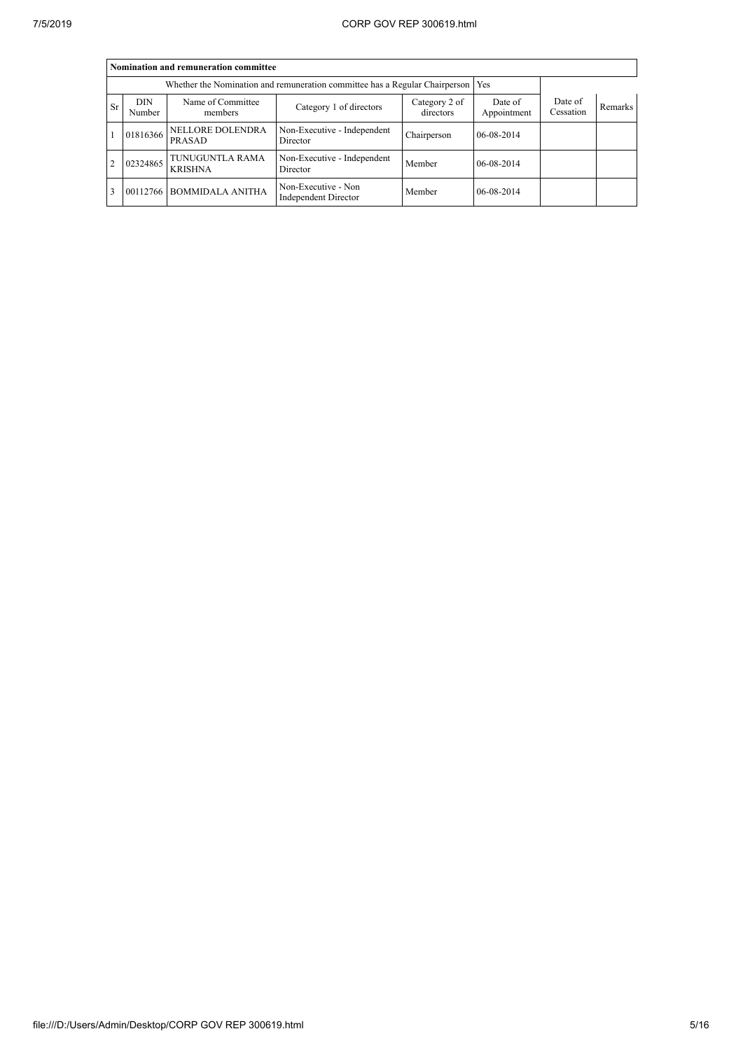|               | Nomination and remuneration committee                                                                         |                                   |                                                                                   |             |                        |                      |                |  |  |  |
|---------------|---------------------------------------------------------------------------------------------------------------|-----------------------------------|-----------------------------------------------------------------------------------|-------------|------------------------|----------------------|----------------|--|--|--|
|               |                                                                                                               |                                   | Whether the Nomination and remuneration committee has a Regular Chairperson   Yes |             |                        |                      |                |  |  |  |
| <b>Sr</b>     | Name of Committee<br><b>DIN</b><br>Category 2 of<br>Category 1 of directors<br>directors<br>members<br>Number |                                   |                                                                                   |             | Date of<br>Appointment | Date of<br>Cessation | <b>Remarks</b> |  |  |  |
|               | 01816366                                                                                                      | NELLORE DOLENDRA<br>PRASAD        | Non-Executive - Independent<br>Director                                           | Chairperson | 06-08-2014             |                      |                |  |  |  |
| $\mathcal{D}$ | 02324865                                                                                                      | TUNUGUNTLA RAMA<br><b>KRISHNA</b> | Non-Executive - Independent<br>Director                                           | Member      | 06-08-2014             |                      |                |  |  |  |
| $^{1}$        | 00112766                                                                                                      | <b>BOMMIDALA ANITHA</b>           | Non-Executive - Non<br>Independent Director                                       | Member      | 06-08-2014             |                      |                |  |  |  |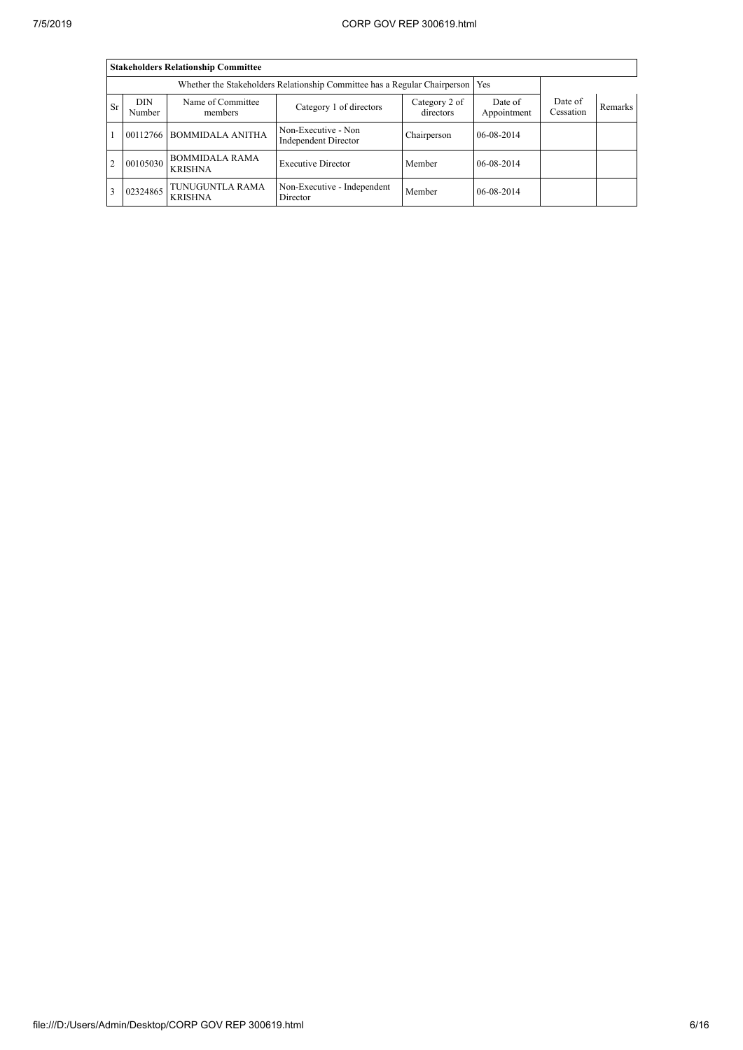|           | <b>Stakeholders Relationship Committee</b> |                                         |                                                                                 |                            |                        |                      |                |  |  |  |
|-----------|--------------------------------------------|-----------------------------------------|---------------------------------------------------------------------------------|----------------------------|------------------------|----------------------|----------------|--|--|--|
|           |                                            |                                         | Whether the Stakeholders Relationship Committee has a Regular Chairperson   Yes |                            |                        |                      |                |  |  |  |
| <b>Sr</b> | <b>DIN</b><br>Number                       | Name of Committee<br>members            | Category 1 of directors                                                         | Category 2 of<br>directors | Date of<br>Appointment | Date of<br>Cessation | <b>Remarks</b> |  |  |  |
|           | 00112766                                   | <b>BOMMIDALA ANITHA</b>                 | Non-Executive - Non<br>Independent Director                                     | Chairperson                | 06-08-2014             |                      |                |  |  |  |
| 2         | 00105030                                   | <b>BOMMIDALA RAMA</b><br><b>KRISHNA</b> | <b>Executive Director</b>                                                       | Member                     | 06-08-2014             |                      |                |  |  |  |
|           | 02324865                                   | TUNUGUNTLA RAMA<br><b>KRISHNA</b>       | Non-Executive - Independent<br>Director                                         | Member                     | 06-08-2014             |                      |                |  |  |  |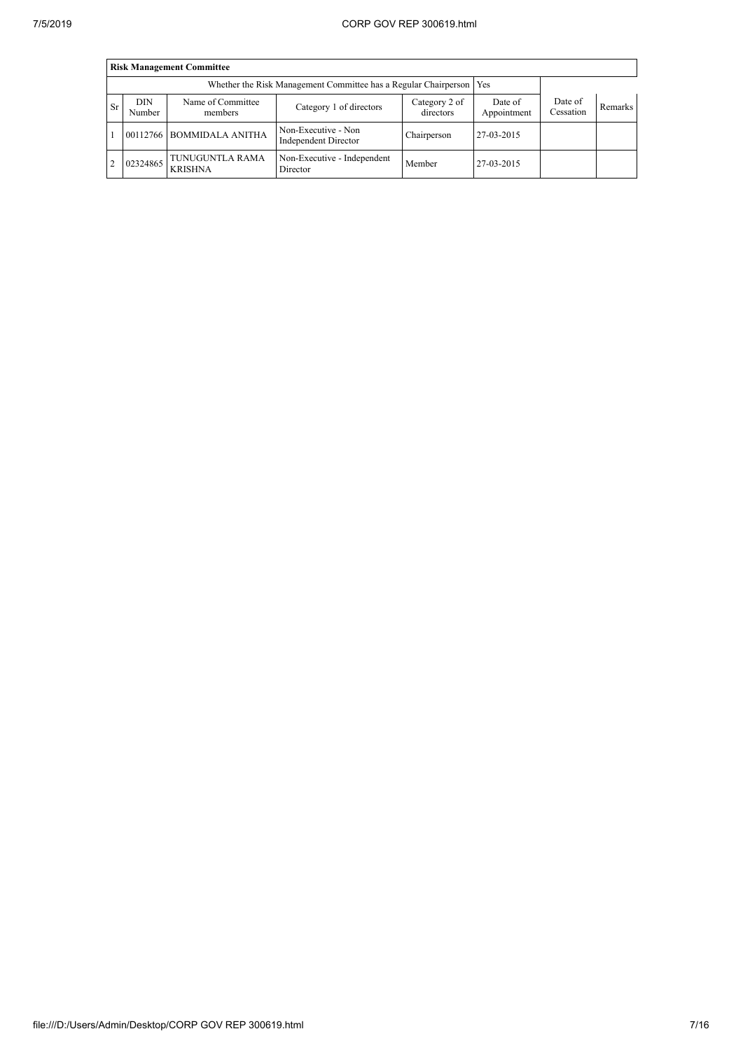|                | <b>Risk Management Committee</b> |                                   |                                                                       |                            |                        |                      |         |  |  |  |
|----------------|----------------------------------|-----------------------------------|-----------------------------------------------------------------------|----------------------------|------------------------|----------------------|---------|--|--|--|
|                |                                  |                                   | Whether the Risk Management Committee has a Regular Chairperson   Yes |                            |                        |                      |         |  |  |  |
| Sr             | <b>DIN</b><br>Number             | Name of Committee<br>members      | Category 1 of directors                                               | Category 2 of<br>directors | Date of<br>Appointment | Date of<br>Cessation | Remarks |  |  |  |
|                |                                  | 00112766 BOMMIDALA ANITHA         | Non-Executive - Non<br>Independent Director                           | Chairperson                | 27-03-2015             |                      |         |  |  |  |
| $\overline{2}$ | 02324865                         | TUNUGUNTLA RAMA<br><b>KRISHNA</b> | Non-Executive - Independent<br>Director                               | Member                     | 27-03-2015             |                      |         |  |  |  |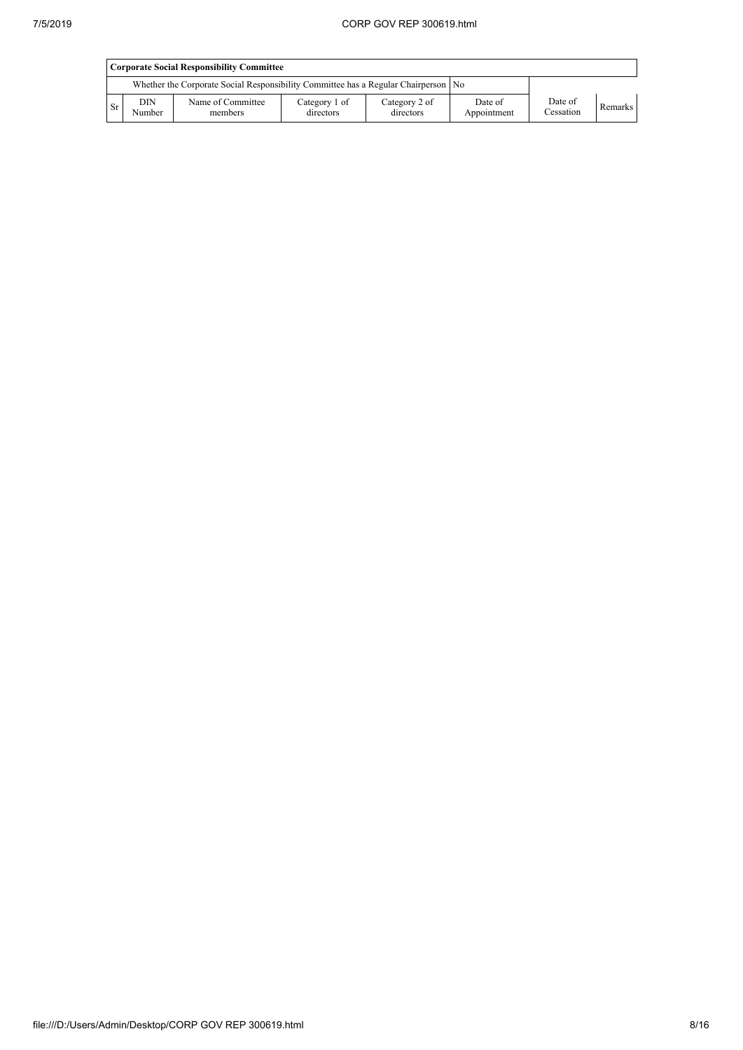|     | <b>Corporate Social Responsibility Committee</b> |                                                                                      |                            |                            |                        |                      |           |  |  |
|-----|--------------------------------------------------|--------------------------------------------------------------------------------------|----------------------------|----------------------------|------------------------|----------------------|-----------|--|--|
|     |                                                  | Whether the Corporate Social Responsibility Committee has a Regular Chairperson   No |                            |                            |                        |                      |           |  |  |
| Sr. | <b>DIN</b><br>Number                             | Name of Committee<br>members                                                         | Category 1 of<br>directors | Category 2 of<br>directors | Date of<br>Appointment | Date of<br>Cessation | Remarks 1 |  |  |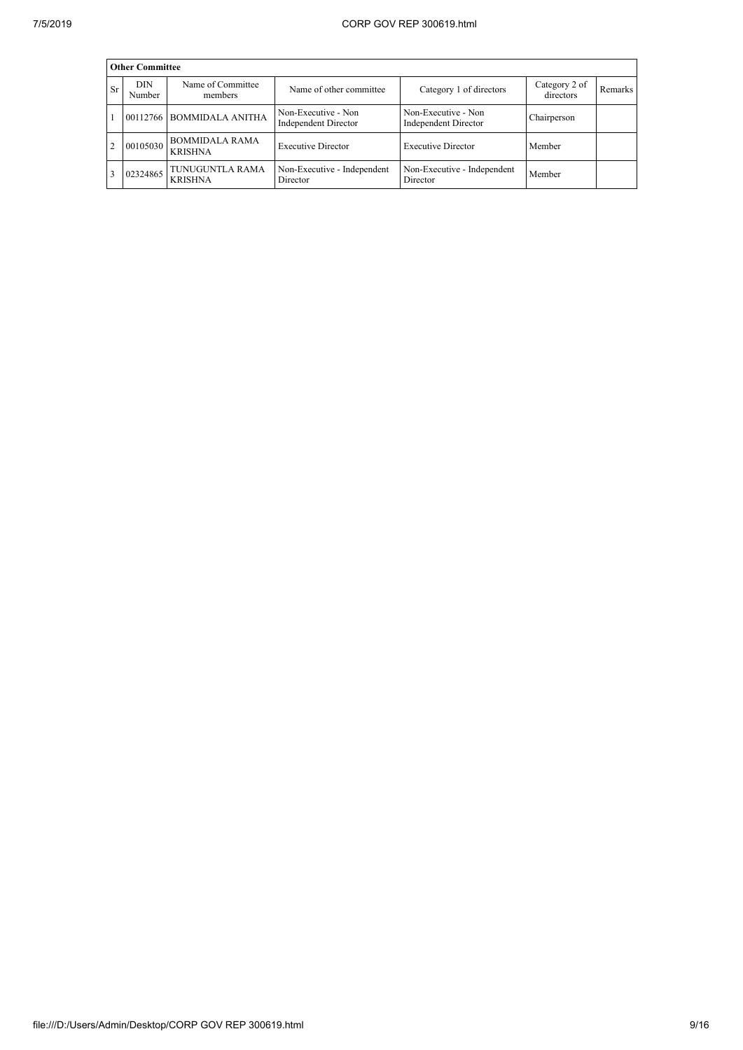|           | <b>Other Committee</b> |                                         |                                             |                                                    |                            |         |  |  |  |  |
|-----------|------------------------|-----------------------------------------|---------------------------------------------|----------------------------------------------------|----------------------------|---------|--|--|--|--|
| <b>Sr</b> | <b>DIN</b><br>Number   | Name of Committee<br>members            | Name of other committee                     | Category 1 of directors                            | Category 2 of<br>directors | Remarks |  |  |  |  |
|           | 00112766               | <b>BOMMIDALA ANITHA</b>                 | Non-Executive - Non<br>Independent Director | Non-Executive - Non<br><b>Independent Director</b> | Chairperson                |         |  |  |  |  |
|           | 00105030               | <b>BOMMIDALA RAMA</b><br><b>KRISHNA</b> | <b>Executive Director</b>                   | <b>Executive Director</b>                          | Member                     |         |  |  |  |  |
|           | 02324865               | TUNUGUNTLA RAMA<br><b>KRISHNA</b>       | Non-Executive - Independent<br>Director     | Non-Executive - Independent<br>Director            | Member                     |         |  |  |  |  |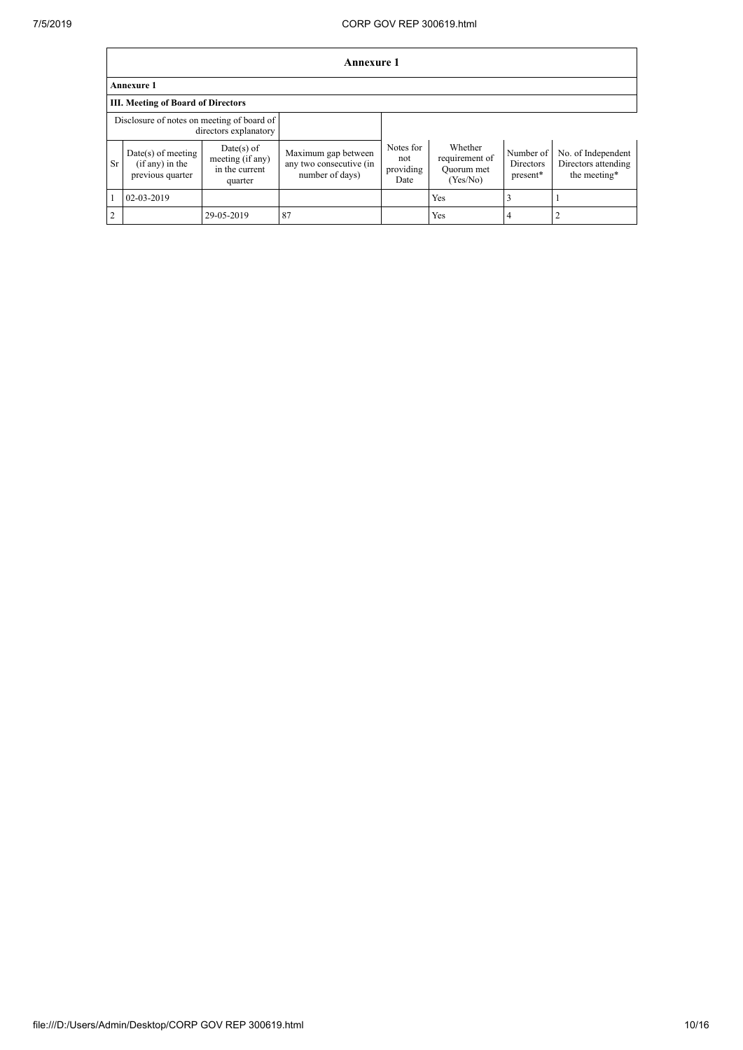$\overline{1}$ 

٦

|                | <b>Annexure 1</b>                                             |                                                               |                                                                   |                                       |                                                     |                                    |                                                           |  |  |
|----------------|---------------------------------------------------------------|---------------------------------------------------------------|-------------------------------------------------------------------|---------------------------------------|-----------------------------------------------------|------------------------------------|-----------------------------------------------------------|--|--|
|                | <b>Annexure 1</b>                                             |                                                               |                                                                   |                                       |                                                     |                                    |                                                           |  |  |
|                | <b>III. Meeting of Board of Directors</b>                     |                                                               |                                                                   |                                       |                                                     |                                    |                                                           |  |  |
|                | Disclosure of notes on meeting of board of                    | directors explanatory                                         |                                                                   |                                       |                                                     |                                    |                                                           |  |  |
| <b>Sr</b>      | $Date(s)$ of meeting<br>$(if any)$ in the<br>previous quarter | $Date(s)$ of<br>meeting (if any)<br>in the current<br>quarter | Maximum gap between<br>any two consecutive (in<br>number of days) | Notes for<br>not<br>providing<br>Date | Whether<br>requirement of<br>Quorum met<br>(Yes/No) | Number of<br>Directors<br>present* | No. of Independent<br>Directors attending<br>the meeting* |  |  |
|                | 02-03-2019                                                    |                                                               |                                                                   |                                       | <b>Yes</b>                                          |                                    |                                                           |  |  |
| $\overline{2}$ |                                                               | 29-05-2019                                                    | 87                                                                |                                       | Yes                                                 | 4                                  |                                                           |  |  |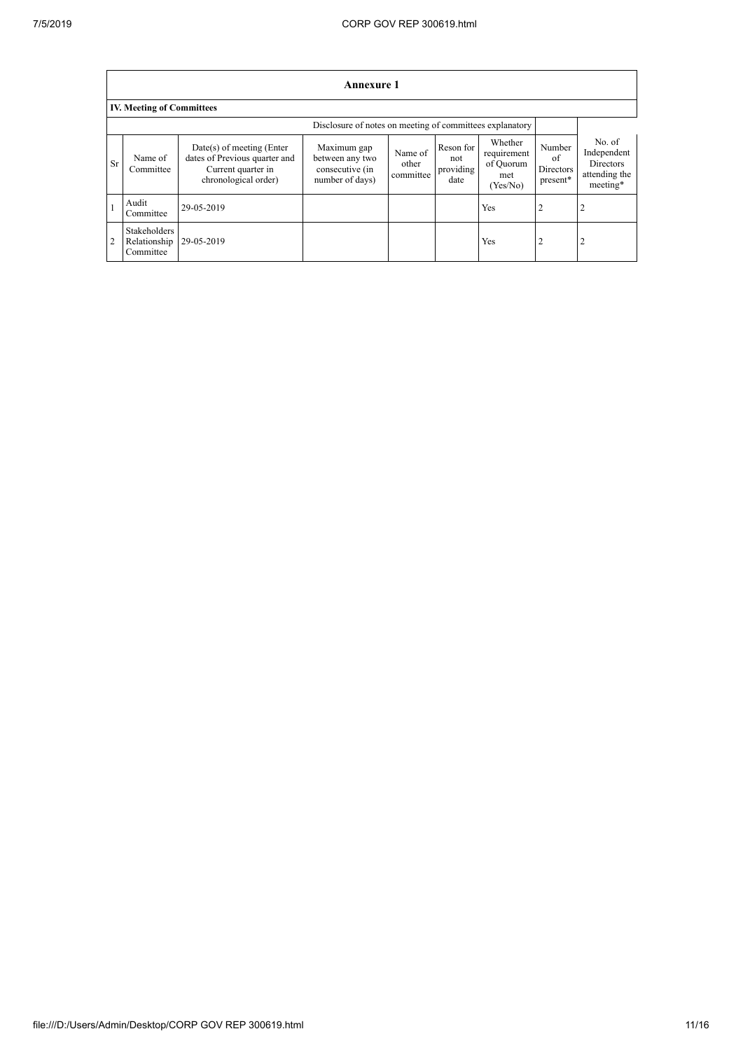$\overline{1}$ 

|               | <b>Annexure 1</b>                         |                                                                                                            |                                                                      |                               |                                       |                                                        |                                       |                                                                        |  |  |
|---------------|-------------------------------------------|------------------------------------------------------------------------------------------------------------|----------------------------------------------------------------------|-------------------------------|---------------------------------------|--------------------------------------------------------|---------------------------------------|------------------------------------------------------------------------|--|--|
|               | <b>IV. Meeting of Committees</b>          |                                                                                                            |                                                                      |                               |                                       |                                                        |                                       |                                                                        |  |  |
|               |                                           |                                                                                                            | Disclosure of notes on meeting of committees explanatory             |                               |                                       |                                                        |                                       |                                                                        |  |  |
| Sr            | Name of<br>Committee                      | $Date(s)$ of meeting (Enter<br>dates of Previous quarter and<br>Current quarter in<br>chronological order) | Maximum gap<br>between any two<br>consecutive (in<br>number of days) | Name of<br>other<br>committee | Reson for<br>not<br>providing<br>date | Whether<br>requirement<br>of Quorum<br>met<br>(Yes/No) | Number<br>of<br>Directors<br>present* | No. of<br>Independent<br><b>Directors</b><br>attending the<br>meeting* |  |  |
|               | Audit<br>Committee                        | 29-05-2019                                                                                                 |                                                                      |                               |                                       | Yes                                                    | 2                                     | 2                                                                      |  |  |
| $^{\prime}$ 2 | Stakeholders<br>Relationship<br>Committee | 29-05-2019                                                                                                 |                                                                      |                               |                                       | Yes                                                    | 2                                     | 2                                                                      |  |  |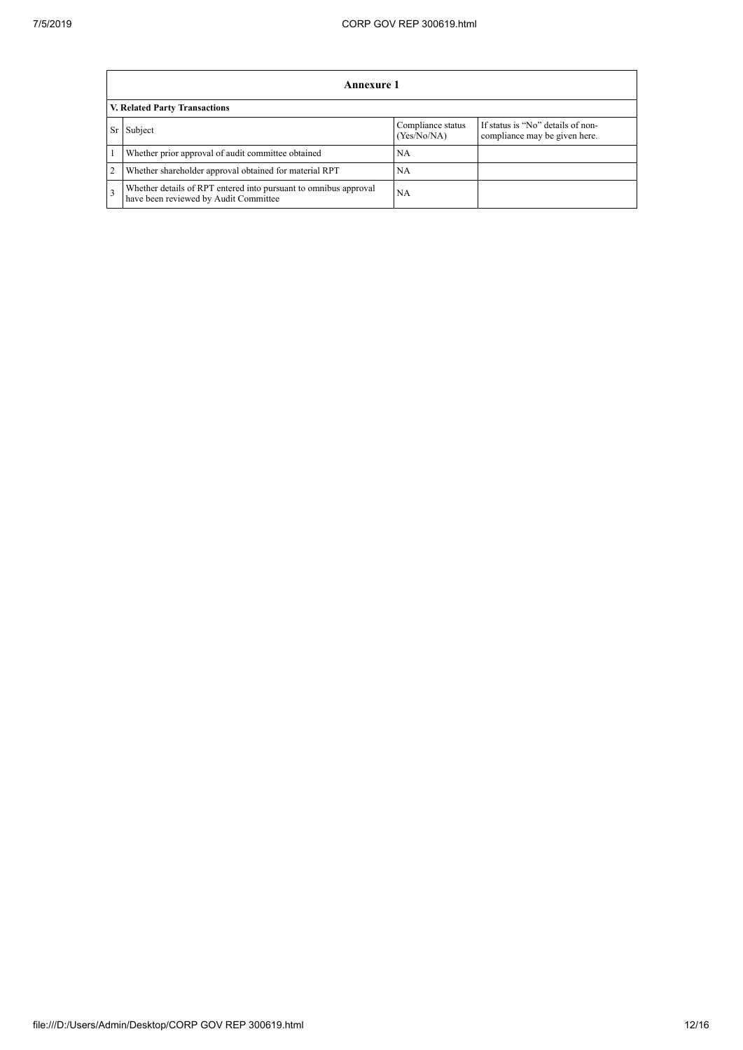|              | Annexure 1                                                                                                |                                  |                                                                    |  |  |  |  |  |
|--------------|-----------------------------------------------------------------------------------------------------------|----------------------------------|--------------------------------------------------------------------|--|--|--|--|--|
|              | V. Related Party Transactions                                                                             |                                  |                                                                    |  |  |  |  |  |
| Sr           | Subject                                                                                                   | Compliance status<br>(Yes/No/NA) | If status is "No" details of non-<br>compliance may be given here. |  |  |  |  |  |
|              | Whether prior approval of audit committee obtained                                                        | <b>NA</b>                        |                                                                    |  |  |  |  |  |
|              | Whether shareholder approval obtained for material RPT                                                    | <b>NA</b>                        |                                                                    |  |  |  |  |  |
| $\mathbf{3}$ | Whether details of RPT entered into pursuant to omnibus approval<br>have been reviewed by Audit Committee | NA                               |                                                                    |  |  |  |  |  |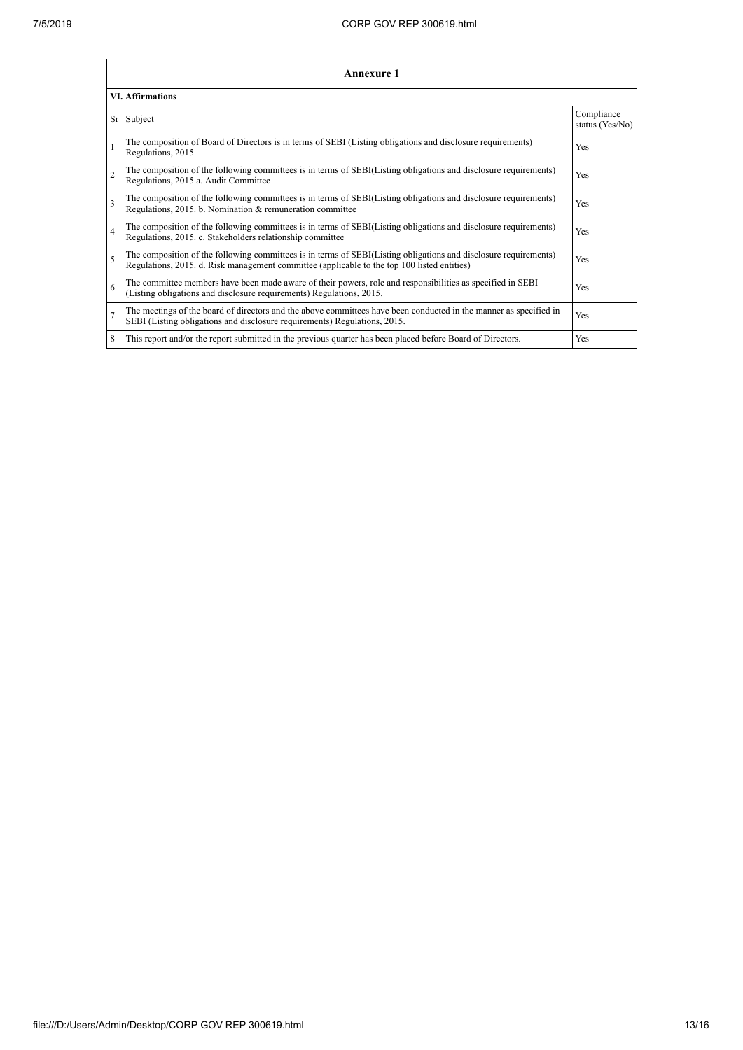|                         | <b>Annexure 1</b>                                                                                                                                                                                               |                               |  |  |  |
|-------------------------|-----------------------------------------------------------------------------------------------------------------------------------------------------------------------------------------------------------------|-------------------------------|--|--|--|
| <b>VI. Affirmations</b> |                                                                                                                                                                                                                 |                               |  |  |  |
|                         | Sr Subject                                                                                                                                                                                                      | Compliance<br>status (Yes/No) |  |  |  |
|                         | The composition of Board of Directors is in terms of SEBI (Listing obligations and disclosure requirements)<br>Regulations, 2015                                                                                | Yes                           |  |  |  |
| $\overline{2}$          | The composition of the following committees is in terms of SEBI(Listing obligations and disclosure requirements)<br>Regulations, 2015 a. Audit Committee                                                        | Yes                           |  |  |  |
| $\overline{\mathbf{3}}$ | The composition of the following committees is in terms of SEBI(Listing obligations and disclosure requirements)<br>Regulations, 2015. b. Nomination & remuneration committee                                   | Yes                           |  |  |  |
| $\overline{4}$          | The composition of the following committees is in terms of SEBI(Listing obligations and disclosure requirements)<br>Regulations, 2015. c. Stakeholders relationship committee                                   | Yes                           |  |  |  |
| 5                       | The composition of the following committees is in terms of SEBI(Listing obligations and disclosure requirements)<br>Regulations, 2015. d. Risk management committee (applicable to the top 100 listed entities) | Yes                           |  |  |  |
| 6                       | The committee members have been made aware of their powers, role and responsibilities as specified in SEBI<br>(Listing obligations and disclosure requirements) Regulations, 2015.                              | Yes                           |  |  |  |
| $\overline{7}$          | The meetings of the board of directors and the above committees have been conducted in the manner as specified in<br>SEBI (Listing obligations and disclosure requirements) Regulations, 2015.                  | Yes                           |  |  |  |
| 8                       | This report and/or the report submitted in the previous quarter has been placed before Board of Directors.                                                                                                      | Yes                           |  |  |  |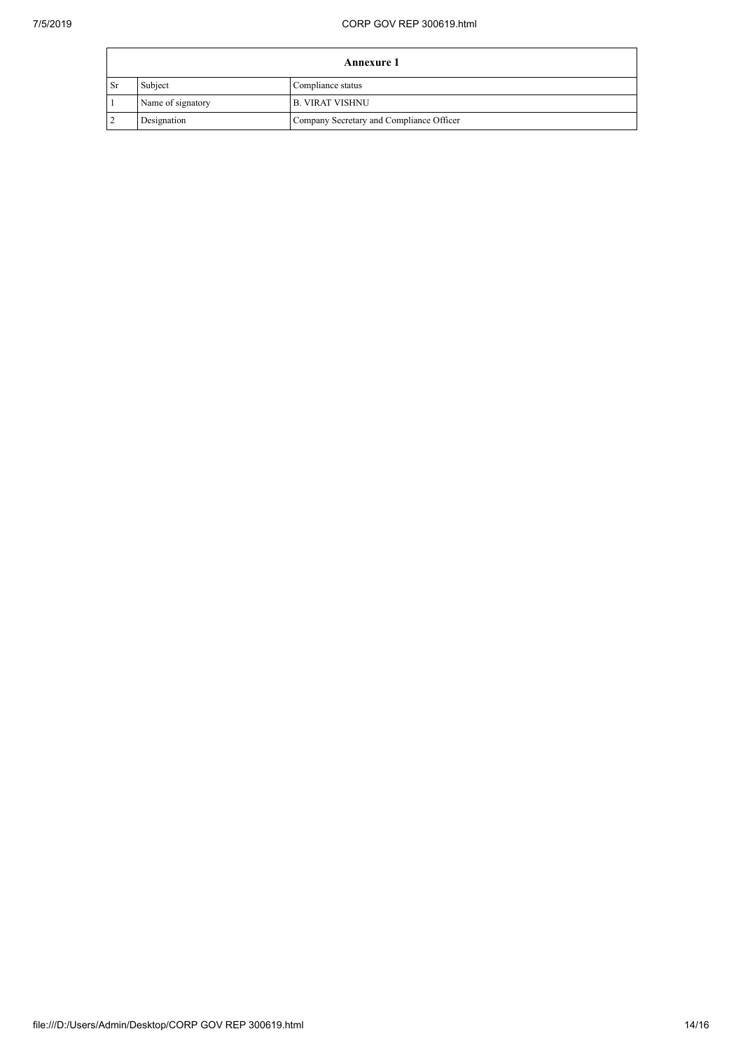| <b>Annexure 1</b> |                   |                                          |  |
|-------------------|-------------------|------------------------------------------|--|
| Sr                | Subject           | Compliance status                        |  |
|                   | Name of signatory | <b>B. VIRAT VISHNU</b>                   |  |
|                   | Designation       | Company Secretary and Compliance Officer |  |